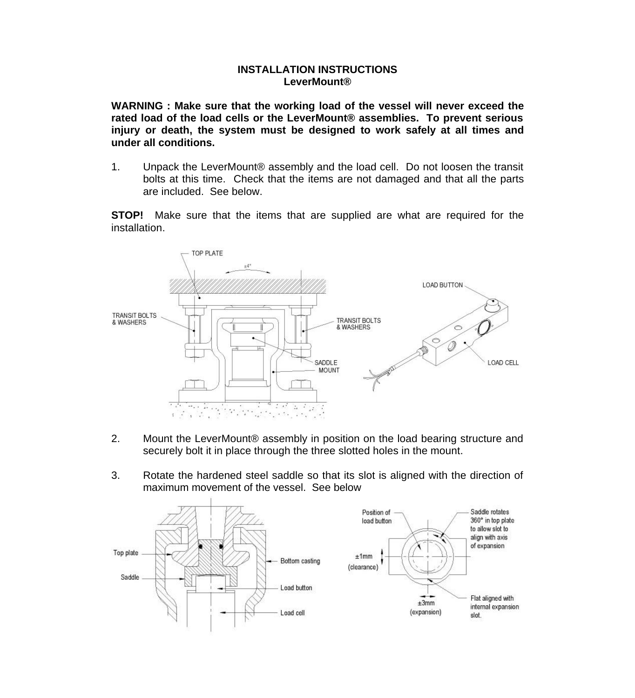## **INSTALLATION INSTRUCTIONS LeverMount®**

**WARNING : Make sure that the working load of the vessel will never exceed the rated load of the load cells or the LeverMount® assemblies. To prevent serious injury or death, the system must be designed to work safely at all times and under all conditions.**

1. Unpack the LeverMount® assembly and the load cell. Do not loosen the transit bolts at this time. Check that the items are not damaged and that all the parts are included. See below.

**STOP!** Make sure that the items that are supplied are what are required for the installation.



- 2. Mount the LeverMount® assembly in position on the load bearing structure and securely bolt it in place through the three slotted holes in the mount.
- 3. Rotate the hardened steel saddle so that its slot is aligned with the direction of maximum movement of the vessel. See below